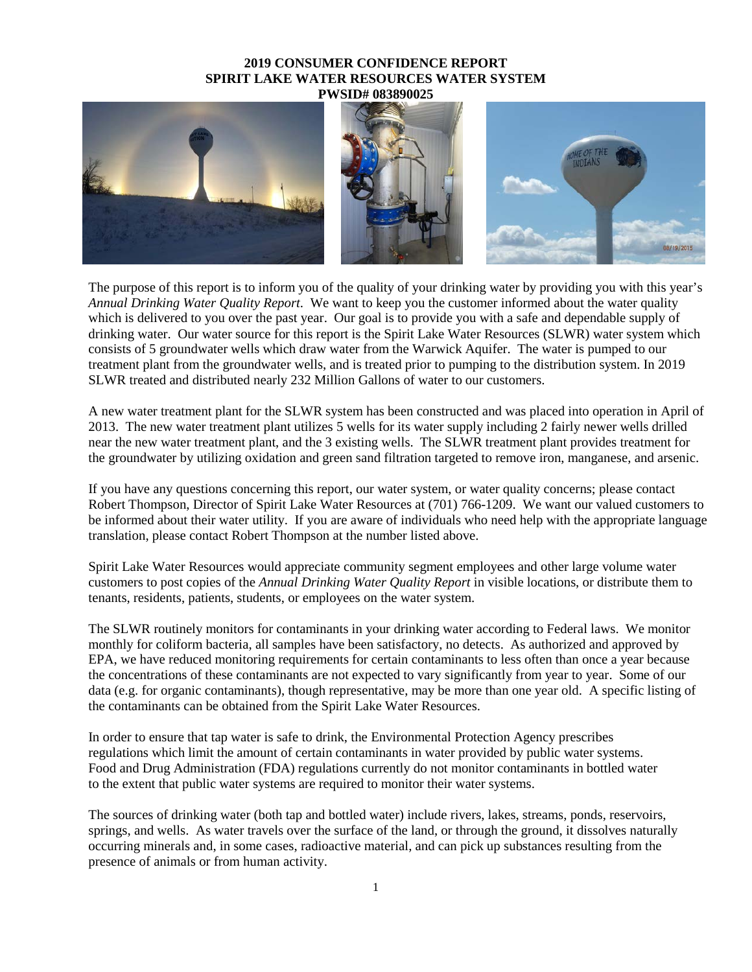## **2019 CONSUMER CONFIDENCE REPORT SPIRIT LAKE WATER RESOURCES WATER SYSTEM PWSID# 083890025**



The purpose of this report is to inform you of the quality of your drinking water by providing you with this year's *Annual Drinking Water Quality Report*. We want to keep you the customer informed about the water quality which is delivered to you over the past year. Our goal is to provide you with a safe and dependable supply of drinking water. Our water source for this report is the Spirit Lake Water Resources (SLWR) water system which consists of 5 groundwater wells which draw water from the Warwick Aquifer. The water is pumped to our treatment plant from the groundwater wells, and is treated prior to pumping to the distribution system. In 2019 SLWR treated and distributed nearly 232 Million Gallons of water to our customers.

A new water treatment plant for the SLWR system has been constructed and was placed into operation in April of 2013. The new water treatment plant utilizes 5 wells for its water supply including 2 fairly newer wells drilled near the new water treatment plant, and the 3 existing wells. The SLWR treatment plant provides treatment for the groundwater by utilizing oxidation and green sand filtration targeted to remove iron, manganese, and arsenic.

If you have any questions concerning this report, our water system, or water quality concerns; please contact Robert Thompson, Director of Spirit Lake Water Resources at (701) 766-1209. We want our valued customers to be informed about their water utility. If you are aware of individuals who need help with the appropriate language translation, please contact Robert Thompson at the number listed above.

Spirit Lake Water Resources would appreciate community segment employees and other large volume water customers to post copies of the *Annual Drinking Water Quality Report* in visible locations, or distribute them to tenants, residents, patients, students, or employees on the water system.

The SLWR routinely monitors for contaminants in your drinking water according to Federal laws. We monitor monthly for coliform bacteria, all samples have been satisfactory, no detects. As authorized and approved by EPA, we have reduced monitoring requirements for certain contaminants to less often than once a year because the concentrations of these contaminants are not expected to vary significantly from year to year. Some of our data (e.g. for organic contaminants), though representative, may be more than one year old. A specific listing of the contaminants can be obtained from the Spirit Lake Water Resources.

In order to ensure that tap water is safe to drink, the Environmental Protection Agency prescribes regulations which limit the amount of certain contaminants in water provided by public water systems. Food and Drug Administration (FDA) regulations currently do not monitor contaminants in bottled water to the extent that public water systems are required to monitor their water systems.

The sources of drinking water (both tap and bottled water) include rivers, lakes, streams, ponds, reservoirs, springs, and wells. As water travels over the surface of the land, or through the ground, it dissolves naturally occurring minerals and, in some cases, radioactive material, and can pick up substances resulting from the presence of animals or from human activity.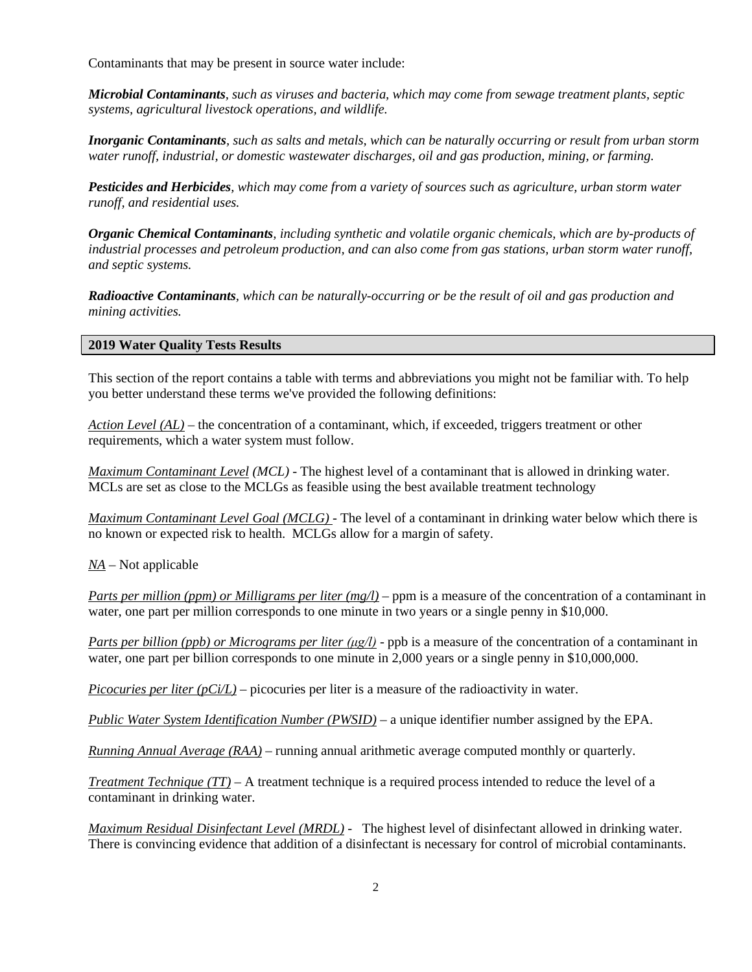Contaminants that may be present in source water include:

*Microbial Contaminants, such as viruses and bacteria, which may come from sewage treatment plants, septic systems, agricultural livestock operations, and wildlife.*

*Inorganic Contaminants, such as salts and metals, which can be naturally occurring or result from urban storm water runoff, industrial, or domestic wastewater discharges, oil and gas production, mining, or farming.*

*Pesticides and Herbicides, which may come from a variety of sources such as agriculture, urban storm water runoff, and residential uses.*

*Organic Chemical Contaminants, including synthetic and volatile organic chemicals, which are by-products of industrial processes and petroleum production, and can also come from gas stations, urban storm water runoff, and septic systems.*

*Radioactive Contaminants, which can be naturally-occurring or be the result of oil and gas production and mining activities.*

## **2019 Water Quality Tests Results**

This section of the report contains a table with terms and abbreviations you might not be familiar with. To help you better understand these terms we've provided the following definitions:

*Action Level (AL)* – the concentration of a contaminant, which, if exceeded, triggers treatment or other requirements, which a water system must follow.

*Maximum Contaminant Level (MCL)* - The highest level of a contaminant that is allowed in drinking water. MCLs are set as close to the MCLGs as feasible using the best available treatment technology

*Maximum Contaminant Level Goal (MCLG)* - The level of a contaminant in drinking water below which there is no known or expected risk to health. MCLGs allow for a margin of safety.

*NA* – Not applicable

*Parts per million (ppm) or Milligrams per liter (mg/l)* – ppm is a measure of the concentration of a contaminant in water, one part per million corresponds to one minute in two years or a single penny in \$10,000.

*Parts per billion (ppb) or Micrograms per liter (μg/l)* - ppb is a measure of the concentration of a contaminant in water, one part per billion corresponds to one minute in 2,000 years or a single penny in \$10,000,000.

*Picocuries per liter*  $(pC<sub>i</sub>/L)$  – picocuries per liter is a measure of the radioactivity in water.

*Public Water System Identification Number (PWSID)* – a unique identifier number assigned by the EPA.

*Running Annual Average (RAA)* – running annual arithmetic average computed monthly or quarterly.

*Treatment Technique (TT)* – A treatment technique is a required process intended to reduce the level of a contaminant in drinking water.

*Maximum Residual Disinfectant Level (MRDL) -* The highest level of disinfectant allowed in drinking water. There is convincing evidence that addition of a disinfectant is necessary for control of microbial contaminants.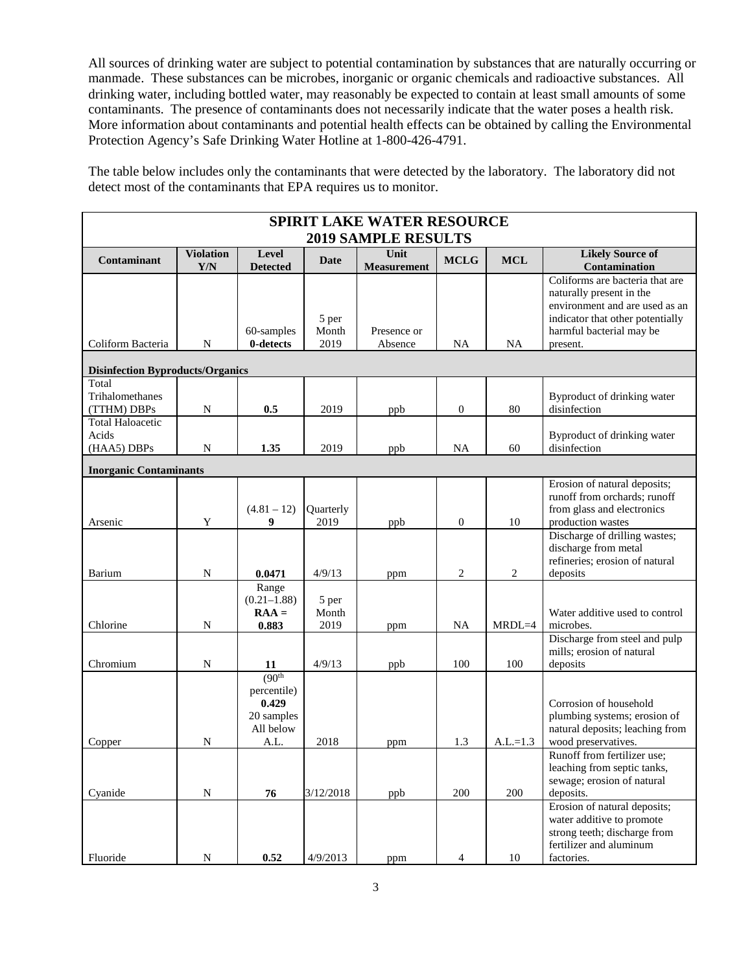All sources of drinking water are subject to potential contamination by substances that are naturally occurring or manmade. These substances can be microbes, inorganic or organic chemicals and radioactive substances. All drinking water, including bottled water, may reasonably be expected to contain at least small amounts of some contaminants. The presence of contaminants does not necessarily indicate that the water poses a health risk. More information about contaminants and potential health effects can be obtained by calling the Environmental Protection Agency's Safe Drinking Water Hotline at 1-800-426-4791.

The table below includes only the contaminants that were detected by the laboratory. The laboratory did not detect most of the contaminants that EPA requires us to monitor.

| <b>SPIRIT LAKE WATER RESOURCE</b>               |                         |                                                                                |                        |                            |                  |                |                                                                                                                                                                           |  |  |  |  |
|-------------------------------------------------|-------------------------|--------------------------------------------------------------------------------|------------------------|----------------------------|------------------|----------------|---------------------------------------------------------------------------------------------------------------------------------------------------------------------------|--|--|--|--|
| <b>2019 SAMPLE RESULTS</b>                      |                         |                                                                                |                        |                            |                  |                |                                                                                                                                                                           |  |  |  |  |
| Contaminant                                     | <b>Violation</b><br>Y/N | Level<br><b>Detected</b>                                                       | Date                   | Unit<br><b>Measurement</b> | <b>MCLG</b>      | <b>MCL</b>     | <b>Likely Source of</b><br>Contamination                                                                                                                                  |  |  |  |  |
| Coliform Bacteria                               | N                       | 60-samples<br>0-detects                                                        | 5 per<br>Month<br>2019 | Presence or<br>Absence     | NA               | <b>NA</b>      | Coliforms are bacteria that are<br>naturally present in the<br>environment and are used as an<br>indicator that other potentially<br>harmful bacterial may be<br>present. |  |  |  |  |
| <b>Disinfection Byproducts/Organics</b>         |                         |                                                                                |                        |                            |                  |                |                                                                                                                                                                           |  |  |  |  |
| Total<br>Trihalomethanes<br>(TTHM) DBPs         | N                       | 0.5                                                                            | 2019                   | ppb                        | $\boldsymbol{0}$ | 80             | Byproduct of drinking water<br>disinfection                                                                                                                               |  |  |  |  |
| <b>Total Haloacetic</b><br>Acids<br>(HAA5) DBPs | N                       | 1.35                                                                           | 2019                   | ppb                        | <b>NA</b>        | 60             | Byproduct of drinking water<br>disinfection                                                                                                                               |  |  |  |  |
| <b>Inorganic Contaminants</b>                   |                         |                                                                                |                        |                            |                  |                |                                                                                                                                                                           |  |  |  |  |
| Arsenic                                         | Y                       | $(4.81 - 12)$<br>9                                                             | Quarterly<br>2019      | ppb                        | $\boldsymbol{0}$ | 10             | Erosion of natural deposits;<br>runoff from orchards; runoff<br>from glass and electronics<br>production wastes                                                           |  |  |  |  |
| Barium                                          | N                       | 0.0471                                                                         | 4/9/13                 | ppm                        | $\overline{c}$   | $\overline{2}$ | Discharge of drilling wastes;<br>discharge from metal<br>refineries; erosion of natural<br>deposits                                                                       |  |  |  |  |
| Chlorine                                        | N                       | Range<br>$(0.21 - 1.88)$<br>$RAA =$<br>0.883                                   | 5 per<br>Month<br>2019 | ppm                        | NA               | $MRDL=4$       | Water additive used to control<br>microbes.                                                                                                                               |  |  |  |  |
| Chromium                                        | N                       | 11                                                                             | 4/9/13                 | ppb                        | 100              | 100            | Discharge from steel and pulp<br>mills; erosion of natural<br>deposits                                                                                                    |  |  |  |  |
| Copper                                          | N                       | (90 <sup>th</sup> )<br>percentile)<br>0.429<br>20 samples<br>All below<br>A.L. | 2018                   | ppm                        | 1.3              | $A.L.=1.3$     | Corrosion of household<br>plumbing systems; erosion of<br>natural deposits; leaching from<br>wood preservatives.                                                          |  |  |  |  |
| Cyanide                                         | N                       | 76                                                                             | 3/12/2018              | ppb                        | 200              | 200            | Runoff from fertilizer use;<br>leaching from septic tanks,<br>sewage; erosion of natural<br>deposits.                                                                     |  |  |  |  |
| Fluoride                                        | N                       | 0.52                                                                           | 4/9/2013               | ppm                        | 4                | 10             | Erosion of natural deposits;<br>water additive to promote<br>strong teeth; discharge from<br>fertilizer and aluminum<br>factories.                                        |  |  |  |  |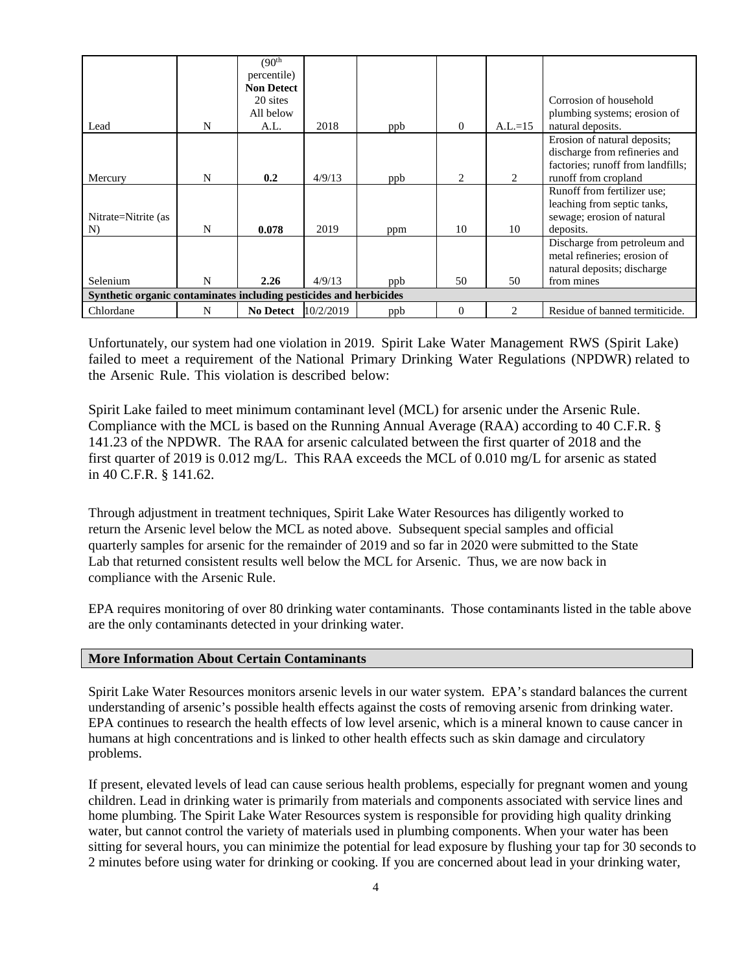|                                                                    |   | (90 <sup>th</sup> ) |           |     |          |                             |                                   |  |  |  |
|--------------------------------------------------------------------|---|---------------------|-----------|-----|----------|-----------------------------|-----------------------------------|--|--|--|
|                                                                    |   | percentile)         |           |     |          |                             |                                   |  |  |  |
|                                                                    |   | <b>Non Detect</b>   |           |     |          |                             |                                   |  |  |  |
|                                                                    |   | 20 sites            |           |     |          |                             | Corrosion of household            |  |  |  |
|                                                                    |   | All below           |           |     |          |                             | plumbing systems; erosion of      |  |  |  |
| Lead                                                               | N | A.L.                | 2018      | ppb | $\Omega$ | $A.L.=15$                   | natural deposits.                 |  |  |  |
|                                                                    |   |                     |           |     |          |                             | Erosion of natural deposits;      |  |  |  |
|                                                                    |   |                     |           |     |          |                             | discharge from refineries and     |  |  |  |
|                                                                    |   |                     |           |     |          |                             | factories; runoff from landfills; |  |  |  |
| Mercury                                                            | N | 0.2                 | 4/9/13    | ppb | 2        | 2                           | runoff from cropland              |  |  |  |
|                                                                    |   |                     |           |     |          |                             | Runoff from fertilizer use;       |  |  |  |
|                                                                    |   |                     |           |     |          |                             | leaching from septic tanks,       |  |  |  |
| Nitrate=Nitrite (as                                                |   |                     |           |     |          |                             | sewage; erosion of natural        |  |  |  |
| N)                                                                 | N | 0.078               | 2019      | ppm | 10       | 10                          | deposits.                         |  |  |  |
|                                                                    |   |                     |           |     |          |                             | Discharge from petroleum and      |  |  |  |
|                                                                    |   |                     |           |     |          |                             | metal refineries; erosion of      |  |  |  |
|                                                                    |   |                     |           |     |          |                             | natural deposits; discharge       |  |  |  |
| Selenium                                                           | N | 2.26                | 4/9/13    | ppb | 50       | 50                          | from mines                        |  |  |  |
| Synthetic organic contaminates including pesticides and herbicides |   |                     |           |     |          |                             |                                   |  |  |  |
| Chlordane                                                          | N | <b>No Detect</b>    | 10/2/2019 | ppb | $\Omega$ | $\mathcal{D}_{\mathcal{L}}$ | Residue of banned termiticide.    |  |  |  |

Unfortunately, our system had one violation in 2019. Spirit Lake Water Management RWS (Spirit Lake) failed to meet a requirement of the National Primary Drinking Water Regulations (NPDWR) related to the Arsenic Rule. This violation is described below:

Spirit Lake failed to meet minimum contaminant level (MCL) for arsenic under the Arsenic Rule. Compliance with the MCL is based on the Running Annual Average (RAA) according to 40 C.F.R. § 141.23 of the NPDWR. The RAA for arsenic calculated between the first quarter of 2018 and the first quarter of 2019 is 0.012 mg/L. This RAA exceeds the MCL of 0.010 mg/L for arsenic as stated in 40 C.F.R. § 141.62.

Through adjustment in treatment techniques, Spirit Lake Water Resources has diligently worked to return the Arsenic level below the MCL as noted above. Subsequent special samples and official quarterly samples for arsenic for the remainder of 2019 and so far in 2020 were submitted to the State Lab that returned consistent results well below the MCL for Arsenic. Thus, we are now back in compliance with the Arsenic Rule.

EPA requires monitoring of over 80 drinking water contaminants. Those contaminants listed in the table above are the only contaminants detected in your drinking water.

## **More Information About Certain Contaminants**

Spirit Lake Water Resources monitors arsenic levels in our water system. EPA's standard balances the current understanding of arsenic's possible health effects against the costs of removing arsenic from drinking water. EPA continues to research the health effects of low level arsenic, which is a mineral known to cause cancer in humans at high concentrations and is linked to other health effects such as skin damage and circulatory problems.

If present, elevated levels of lead can cause serious health problems, especially for pregnant women and young children. Lead in drinking water is primarily from materials and components associated with service lines and home plumbing. The Spirit Lake Water Resources system is responsible for providing high quality drinking water, but cannot control the variety of materials used in plumbing components. When your water has been sitting for several hours, you can minimize the potential for lead exposure by flushing your tap for 30 seconds to 2 minutes before using water for drinking or cooking. If you are concerned about lead in your drinking water,